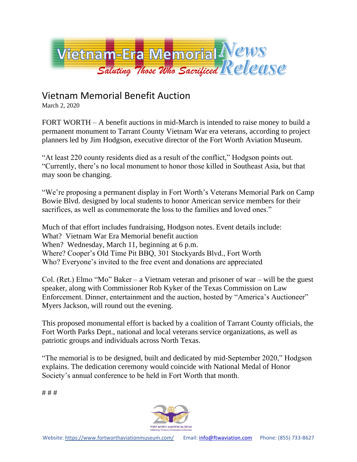

## Vietnam Memorial Benefit Auction

March 2, 2020

FORT WORTH – A benefit auctions in mid-March is intended to raise money to build a permanent monument to Tarrant County Vietnam War era veterans, according to project planners led by Jim Hodgson, executive director of the Fort Worth Aviation Museum.

"At least 220 county residents died as a result of the conflict," Hodgson points out. "Currently, there's no local monument to honor those killed in Southeast Asia, but that may soon be changing.

"We're proposing a permanent display in Fort Worth's Veterans Memorial Park on Camp Bowie Blvd. designed by local students to honor American service members for their sacrifices, as well as commemorate the loss to the families and loved ones."

Much of that effort includes fundraising, Hodgson notes. Event details include: What? Vietnam War Era Memorial benefit auction When? Wednesday, March 11, beginning at 6 p.m. Where? Cooper's Old Time Pit BBQ, 301 Stockyards Blvd., Fort Worth Who? Everyone's invited to the free event and donations are appreciated

Col. (Ret.) Elmo "Mo" Baker – a Vietnam veteran and prisoner of war – will be the guest speaker, along with Commissioner Rob Kyker of the Texas Commission on Law Enforcement. Dinner, entertainment and the auction, hosted by "America's Auctioneer" Myers Jackson, will round out the evening.

This proposed monumental effort is backed by a coalition of Tarrant County officials, the Fort Worth Parks Dept., national and local veterans service organizations, as well as patriotic groups and individuals across North Texas.

"The memorial is to be designed, built and dedicated by mid-September 2020," Hodgson explains. The dedication ceremony would coincide with National Medal of Honor Society's annual conference to be held in Fort Worth that month.

# # #